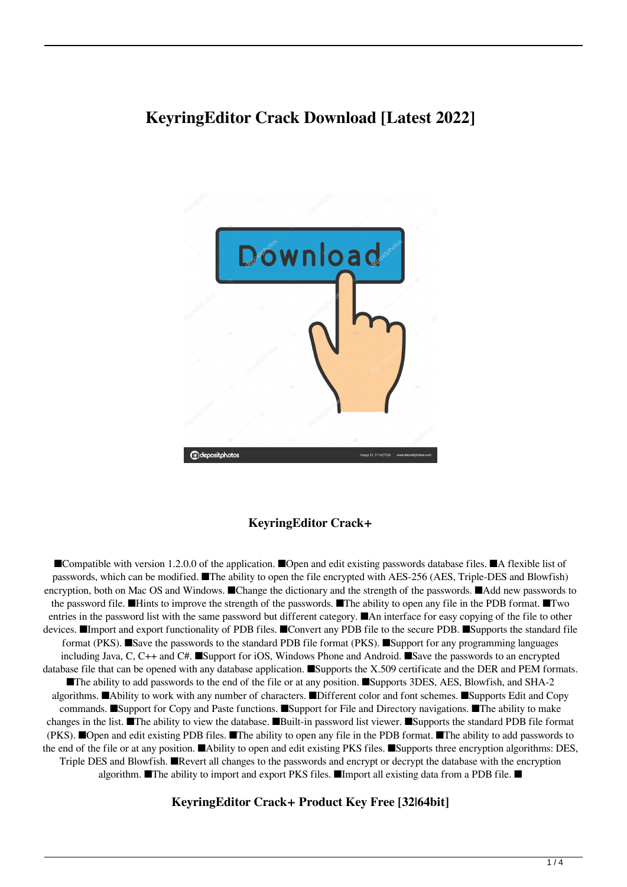# **KeyringEditor Crack Download [Latest 2022]**



### **KeyringEditor Crack+**

■Compatible with version 1.2.0.0 of the application. ■Open and edit existing passwords database files. ■A flexible list of passwords, which can be modified. ■The ability to open the file encrypted with AES-256 (AES, Triple-DES and Blowfish) encryption, both on Mac OS and Windows. ■Change the dictionary and the strength of the passwords. ■Add new passwords to the password file. ■Hints to improve the strength of the passwords. ■The ability to open any file in the PDB format. ■Two entries in the password list with the same password but different category. ■An interface for easy copying of the file to other devices. ■Import and export functionality of PDB files. ■Convert any PDB file to the secure PDB. ■Supports the standard file format (PKS). ■Save the passwords to the standard PDB file format (PKS). ■Support for any programming languages including Java, C, C++ and C#. ■Support for iOS, Windows Phone and Android. ■Save the passwords to an encrypted database file that can be opened with any database application. ■Supports the X.509 certificate and the DER and PEM formats. ■The ability to add passwords to the end of the file or at any position. ■Supports 3DES, AES, Blowfish, and SHA-2 algorithms. ■Ability to work with any number of characters. ■Different color and font schemes. ■Supports Edit and Copy commands. ■Support for Copy and Paste functions. ■Support for File and Directory navigations. ■The ability to make changes in the list. ■The ability to view the database. ■Built-in password list viewer. ■Supports the standard PDB file format (PKS). ■Open and edit existing PDB files. ■The ability to open any file in the PDB format. ■The ability to add passwords to the end of the file or at any position. ■Ability to open and edit existing PKS files. ■Supports three encryption algorithms: DES, Triple DES and Blowfish. ■Revert all changes to the passwords and encrypt or decrypt the database with the encryption algorithm. ■The ability to import and export PKS files. ■Import all existing data from a PDB file. ■

#### **KeyringEditor Crack+ Product Key Free [32|64bit]**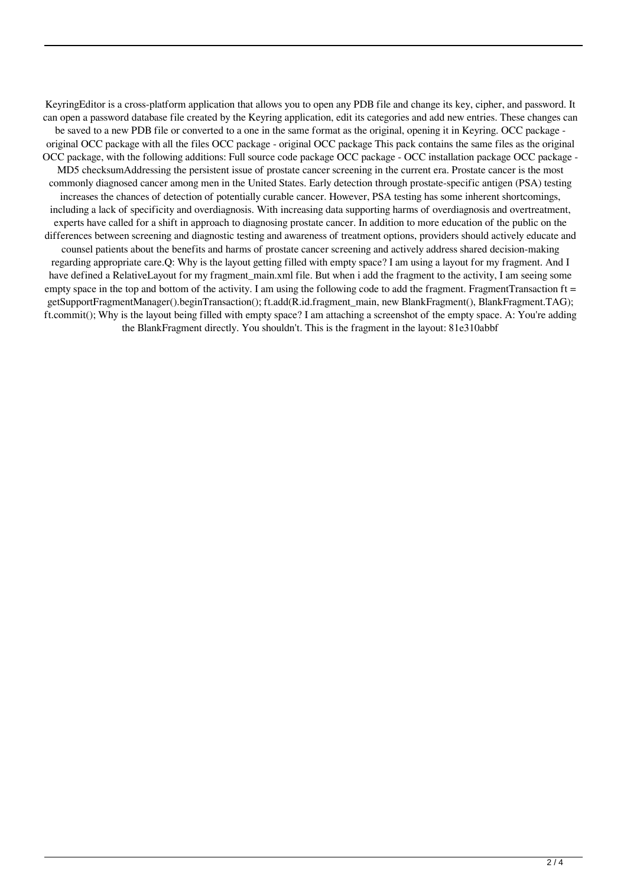KeyringEditor is a cross-platform application that allows you to open any PDB file and change its key, cipher, and password. It can open a password database file created by the Keyring application, edit its categories and add new entries. These changes can be saved to a new PDB file or converted to a one in the same format as the original, opening it in Keyring. OCC package original OCC package with all the files OCC package - original OCC package This pack contains the same files as the original OCC package, with the following additions: Full source code package OCC package - OCC installation package OCC package -MD5 checksumAddressing the persistent issue of prostate cancer screening in the current era. Prostate cancer is the most commonly diagnosed cancer among men in the United States. Early detection through prostate-specific antigen (PSA) testing increases the chances of detection of potentially curable cancer. However, PSA testing has some inherent shortcomings, including a lack of specificity and overdiagnosis. With increasing data supporting harms of overdiagnosis and overtreatment, experts have called for a shift in approach to diagnosing prostate cancer. In addition to more education of the public on the differences between screening and diagnostic testing and awareness of treatment options, providers should actively educate and counsel patients about the benefits and harms of prostate cancer screening and actively address shared decision-making regarding appropriate care.Q: Why is the layout getting filled with empty space? I am using a layout for my fragment. And I have defined a RelativeLayout for my fragment main.xml file. But when i add the fragment to the activity, I am seeing some empty space in the top and bottom of the activity. I am using the following code to add the fragment. FragmentTransaction  $ft =$ getSupportFragmentManager().beginTransaction(); ft.add(R.id.fragment\_main, new BlankFragment(), BlankFragment.TAG); ft.commit(); Why is the layout being filled with empty space? I am attaching a screenshot of the empty space. A: You're adding the BlankFragment directly. You shouldn't. This is the fragment in the layout: 81e310abbf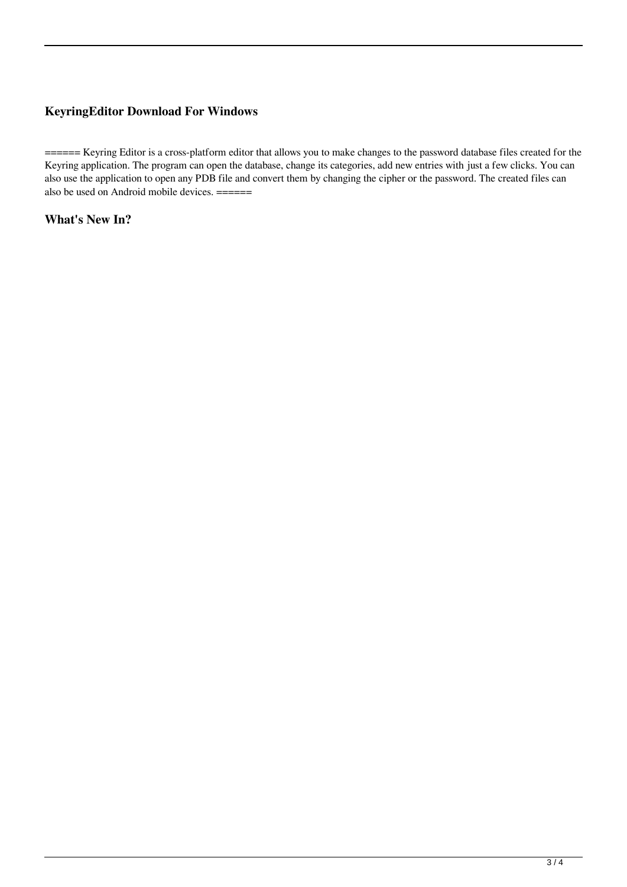## **KeyringEditor Download For Windows**

====== Keyring Editor is a cross-platform editor that allows you to make changes to the password database files created for the Keyring application. The program can open the database, change its categories, add new entries with just a few clicks. You can also use the application to open any PDB file and convert them by changing the cipher or the password. The created files can also be used on Android mobile devices.  $=$   $=$   $=$   $=$   $=$   $=$   $=$ 

**What's New In?**